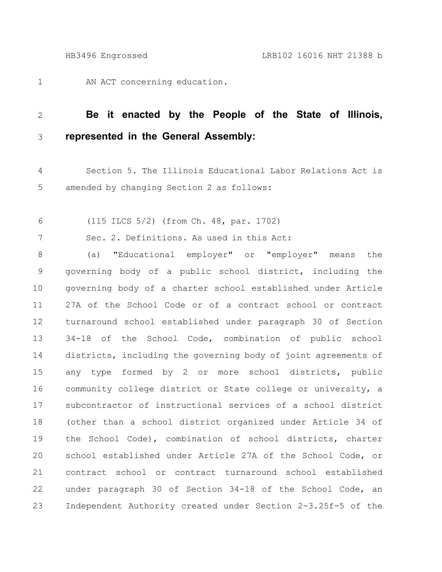AN ACT concerning education. 1

## **Be it enacted by the People of the State of Illinois, represented in the General Assembly:** 2 3

- Section 5. The Illinois Educational Labor Relations Act is amended by changing Section 2 as follows: 4 5
- (115 ILCS 5/2) (from Ch. 48, par. 1702) 6

Sec. 2. Definitions. As used in this Act: 7

(a) "Educational employer" or "employer" means the governing body of a public school district, including the governing body of a charter school established under Article 27A of the School Code or of a contract school or contract turnaround school established under paragraph 30 of Section 34-18 of the School Code, combination of public school districts, including the governing body of joint agreements of any type formed by 2 or more school districts, public community college district or State college or university, a subcontractor of instructional services of a school district (other than a school district organized under Article 34 of the School Code), combination of school districts, charter school established under Article 27A of the School Code, or contract school or contract turnaround school established under paragraph 30 of Section 34-18 of the School Code, an Independent Authority created under Section 2-3.25f-5 of the 8 9 10 11 12 13 14 15 16 17 18 19 20 21 22 23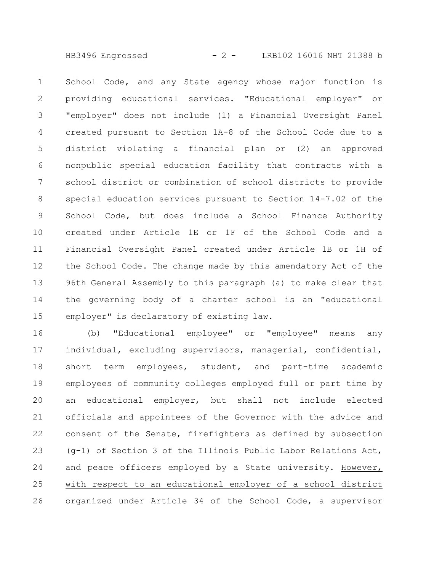HB3496 Engrossed - 2 - LRB102 16016 NHT 21388 b

School Code, and any State agency whose major function is providing educational services. "Educational employer" or "employer" does not include (1) a Financial Oversight Panel created pursuant to Section 1A-8 of the School Code due to a district violating a financial plan or (2) an approved nonpublic special education facility that contracts with a school district or combination of school districts to provide special education services pursuant to Section 14-7.02 of the School Code, but does include a School Finance Authority created under Article 1E or 1F of the School Code and a Financial Oversight Panel created under Article 1B or 1H of the School Code. The change made by this amendatory Act of the 96th General Assembly to this paragraph (a) to make clear that the governing body of a charter school is an "educational employer" is declaratory of existing law. 1 2 3 4 5 6 7 8 9 10 11 12 13 14 15

(b) "Educational employee" or "employee" means any individual, excluding supervisors, managerial, confidential, short term employees, student, and part-time academic employees of community colleges employed full or part time by an educational employer, but shall not include elected officials and appointees of the Governor with the advice and consent of the Senate, firefighters as defined by subsection (g-1) of Section 3 of the Illinois Public Labor Relations Act, and peace officers employed by a State university. However, with respect to an educational employer of a school district organized under Article 34 of the School Code, a supervisor 16 17 18 19 20 21 22 23 24 25 26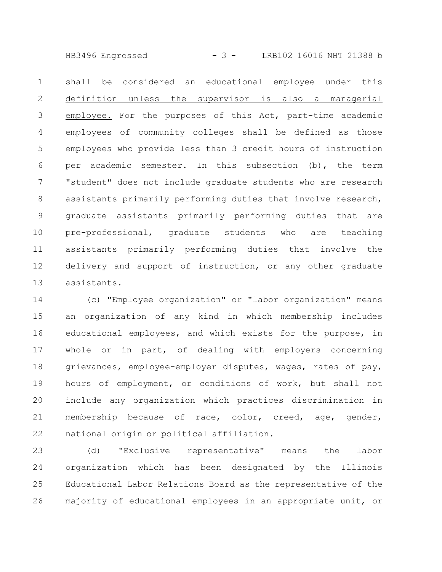HB3496 Engrossed - 3 - LRB102 16016 NHT 21388 b

shall be considered an educational employee under this definition unless the supervisor is also a managerial employee. For the purposes of this Act, part-time academic employees of community colleges shall be defined as those employees who provide less than 3 credit hours of instruction per academic semester. In this subsection (b), the term "student" does not include graduate students who are research assistants primarily performing duties that involve research, graduate assistants primarily performing duties that are pre-professional, graduate students who are teaching assistants primarily performing duties that involve the delivery and support of instruction, or any other graduate assistants. 1 2 3 4 5 6 7 8 9 10 11 12 13

(c) "Employee organization" or "labor organization" means an organization of any kind in which membership includes educational employees, and which exists for the purpose, in whole or in part, of dealing with employers concerning grievances, employee-employer disputes, wages, rates of pay, hours of employment, or conditions of work, but shall not include any organization which practices discrimination in membership because of race, color, creed, age, gender, national origin or political affiliation. 14 15 16 17 18 19 20 21 22

(d) "Exclusive representative" means the labor organization which has been designated by the Illinois Educational Labor Relations Board as the representative of the majority of educational employees in an appropriate unit, or 23 24 25 26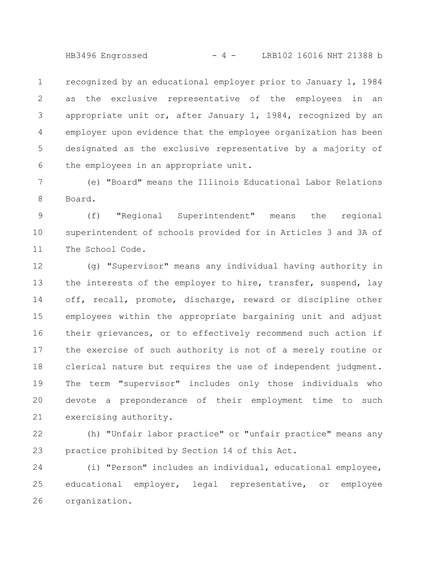HB3496 Engrossed - 4 - LRB102 16016 NHT 21388 b

recognized by an educational employer prior to January 1, 1984 as the exclusive representative of the employees in an appropriate unit or, after January 1, 1984, recognized by an employer upon evidence that the employee organization has been designated as the exclusive representative by a majority of the employees in an appropriate unit. 1 2 3 4 5 6

(e) "Board" means the Illinois Educational Labor Relations Board. 7 8

(f) "Regional Superintendent" means the regional superintendent of schools provided for in Articles 3 and 3A of The School Code. 9 10 11

(g) "Supervisor" means any individual having authority in the interests of the employer to hire, transfer, suspend, lay off, recall, promote, discharge, reward or discipline other employees within the appropriate bargaining unit and adjust their grievances, or to effectively recommend such action if the exercise of such authority is not of a merely routine or clerical nature but requires the use of independent judgment. The term "supervisor" includes only those individuals who devote a preponderance of their employment time to such exercising authority. 12 13 14 15 16 17 18 19 20 21

(h) "Unfair labor practice" or "unfair practice" means any practice prohibited by Section 14 of this Act. 22 23

(i) "Person" includes an individual, educational employee, educational employer, legal representative, or employee organization. 24 25 26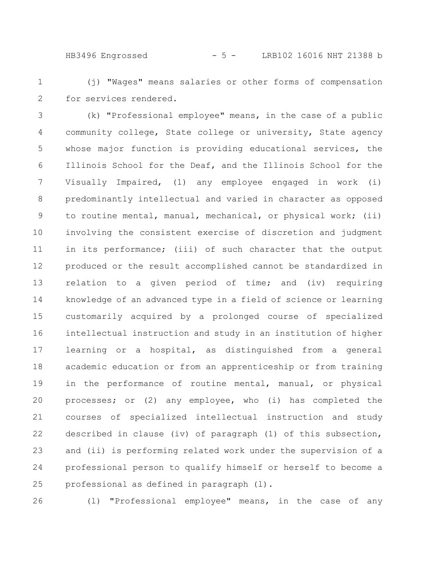HB3496 Engrossed - 5 - LRB102 16016 NHT 21388 b

(j) "Wages" means salaries or other forms of compensation for services rendered. 1 2

(k) "Professional employee" means, in the case of a public community college, State college or university, State agency whose major function is providing educational services, the Illinois School for the Deaf, and the Illinois School for the Visually Impaired, (1) any employee engaged in work (i) predominantly intellectual and varied in character as opposed to routine mental, manual, mechanical, or physical work; (ii) involving the consistent exercise of discretion and judgment in its performance; (iii) of such character that the output produced or the result accomplished cannot be standardized in relation to a given period of time; and (iv) requiring knowledge of an advanced type in a field of science or learning customarily acquired by a prolonged course of specialized intellectual instruction and study in an institution of higher learning or a hospital, as distinguished from a general academic education or from an apprenticeship or from training in the performance of routine mental, manual, or physical processes; or (2) any employee, who (i) has completed the courses of specialized intellectual instruction and study described in clause (iv) of paragraph (1) of this subsection, and (ii) is performing related work under the supervision of a professional person to qualify himself or herself to become a professional as defined in paragraph (l). 3 4 5 6 7 8 9 10 11 12 13 14 15 16 17 18 19 20 21 22 23 24 25

26

(l) "Professional employee" means, in the case of any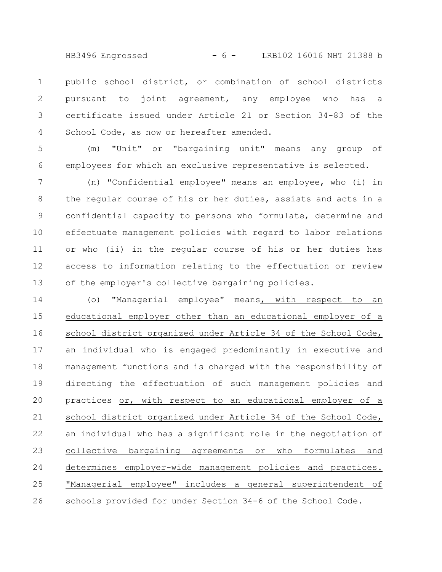HB3496 Engrossed - 6 - LRB102 16016 NHT 21388 b

public school district, or combination of school districts pursuant to joint agreement, any employee who has a certificate issued under Article 21 or Section 34-83 of the School Code, as now or hereafter amended. 1 2 3 4

(m) "Unit" or "bargaining unit" means any group of employees for which an exclusive representative is selected. 5 6

(n) "Confidential employee" means an employee, who (i) in the regular course of his or her duties, assists and acts in a confidential capacity to persons who formulate, determine and effectuate management policies with regard to labor relations or who (ii) in the regular course of his or her duties has access to information relating to the effectuation or review of the employer's collective bargaining policies. 7 8 9 10 11 12 13

(o) "Managerial employee" means, with respect to an educational employer other than an educational employer of a school district organized under Article 34 of the School Code, an individual who is engaged predominantly in executive and management functions and is charged with the responsibility of directing the effectuation of such management policies and practices or, with respect to an educational employer of a school district organized under Article 34 of the School Code, an individual who has a significant role in the negotiation of collective bargaining agreements or who formulates and determines employer-wide management policies and practices. "Managerial employee" includes a general superintendent of schools provided for under Section 34-6 of the School Code. 14 15 16 17 18 19 20 21 22 23 24 25 26